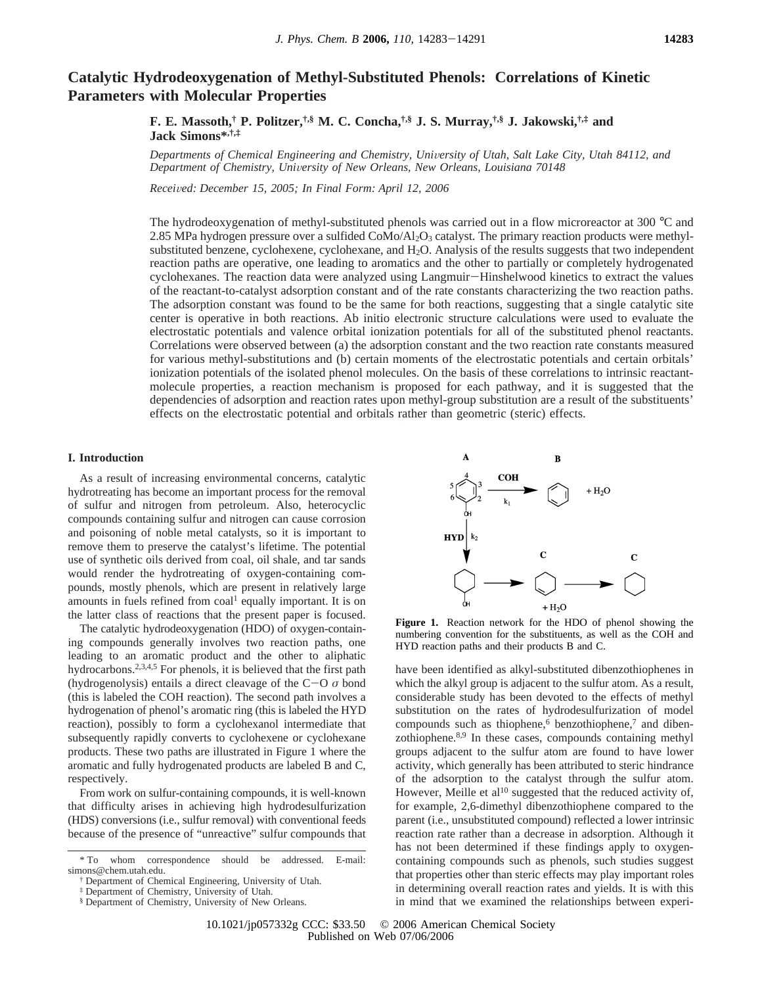# **Catalytic Hydrodeoxygenation of Methyl-Substituted Phenols: Correlations of Kinetic Parameters with Molecular Properties**

**F. E. Massoth,† P. Politzer,†,§ M. C. Concha,†,§ J. S. Murray,†,§ J. Jakowski,†,‡ and Jack Simons\*,†,‡**

*Departments of Chemical Engineering and Chemistry, University of Utah, Salt Lake City, Utah 84112, and Department of Chemistry, Uni*V*ersity of New Orleans, New Orleans, Louisiana 70148*

*Recei*V*ed: December 15, 2005; In Final Form: April 12, 2006*

The hydrodeoxygenation of methyl-substituted phenols was carried out in a flow microreactor at 300 °C and 2.85 MPa hydrogen pressure over a sulfided  $\text{CoMo}/\text{Al}_2\text{O}_3$  catalyst. The primary reaction products were methylsubstituted benzene, cyclohexene, cyclohexane, and H<sub>2</sub>O. Analysis of the results suggests that two independent reaction paths are operative, one leading to aromatics and the other to partially or completely hydrogenated cyclohexanes. The reaction data were analyzed using Langmuir-Hinshelwood kinetics to extract the values of the reactant-to-catalyst adsorption constant and of the rate constants characterizing the two reaction paths. The adsorption constant was found to be the same for both reactions, suggesting that a single catalytic site center is operative in both reactions. Ab initio electronic structure calculations were used to evaluate the electrostatic potentials and valence orbital ionization potentials for all of the substituted phenol reactants. Correlations were observed between (a) the adsorption constant and the two reaction rate constants measured for various methyl-substitutions and (b) certain moments of the electrostatic potentials and certain orbitals' ionization potentials of the isolated phenol molecules. On the basis of these correlations to intrinsic reactantmolecule properties, a reaction mechanism is proposed for each pathway, and it is suggested that the dependencies of adsorption and reaction rates upon methyl-group substitution are a result of the substituents' effects on the electrostatic potential and orbitals rather than geometric (steric) effects.

# **I. Introduction**

As a result of increasing environmental concerns, catalytic hydrotreating has become an important process for the removal of sulfur and nitrogen from petroleum. Also, heterocyclic compounds containing sulfur and nitrogen can cause corrosion and poisoning of noble metal catalysts, so it is important to remove them to preserve the catalyst's lifetime. The potential use of synthetic oils derived from coal, oil shale, and tar sands would render the hydrotreating of oxygen-containing compounds, mostly phenols, which are present in relatively large amounts in fuels refined from  $coal<sup>1</sup>$  equally important. It is on the latter class of reactions that the present paper is focused.

The catalytic hydrodeoxygenation (HDO) of oxygen-containing compounds generally involves two reaction paths, one leading to an aromatic product and the other to aliphatic hydrocarbons.2,3,4,5 For phenols, it is believed that the first path (hydrogenolysis) entails a direct cleavage of the  $C-O$   $\sigma$  bond (this is labeled the COH reaction). The second path involves a hydrogenation of phenol's aromatic ring (this is labeled the HYD reaction), possibly to form a cyclohexanol intermediate that subsequently rapidly converts to cyclohexene or cyclohexane products. These two paths are illustrated in Figure 1 where the aromatic and fully hydrogenated products are labeled B and C, respectively.

From work on sulfur-containing compounds, it is well-known that difficulty arises in achieving high hydrodesulfurization (HDS) conversions (i.e., sulfur removal) with conventional feeds because of the presence of "unreactive" sulfur compounds that



**Figure 1.** Reaction network for the HDO of phenol showing the numbering convention for the substituents, as well as the COH and HYD reaction paths and their products B and C.

have been identified as alkyl-substituted dibenzothiophenes in which the alkyl group is adjacent to the sulfur atom. As a result, considerable study has been devoted to the effects of methyl substitution on the rates of hydrodesulfurization of model compounds such as thiophene, $6$  benzothiophene, $7$  and dibenzothiophene.<sup>8,9</sup> In these cases, compounds containing methyl groups adjacent to the sulfur atom are found to have lower activity, which generally has been attributed to steric hindrance of the adsorption to the catalyst through the sulfur atom. However, Meille et al<sup>10</sup> suggested that the reduced activity of, for example, 2,6-dimethyl dibenzothiophene compared to the parent (i.e., unsubstituted compound) reflected a lower intrinsic reaction rate rather than a decrease in adsorption. Although it has not been determined if these findings apply to oxygencontaining compounds such as phenols, such studies suggest that properties other than steric effects may play important roles in determining overall reaction rates and yields. It is with this in mind that we examined the relationships between experi-

<sup>\*</sup> To whom correspondence should be addressed. E-mail: simons@chem.utah.edu.

<sup>†</sup> Department of Chemical Engineering, University of Utah.

<sup>‡</sup> Department of Chemistry, University of Utah.

<sup>§</sup> Department of Chemistry, University of New Orleans.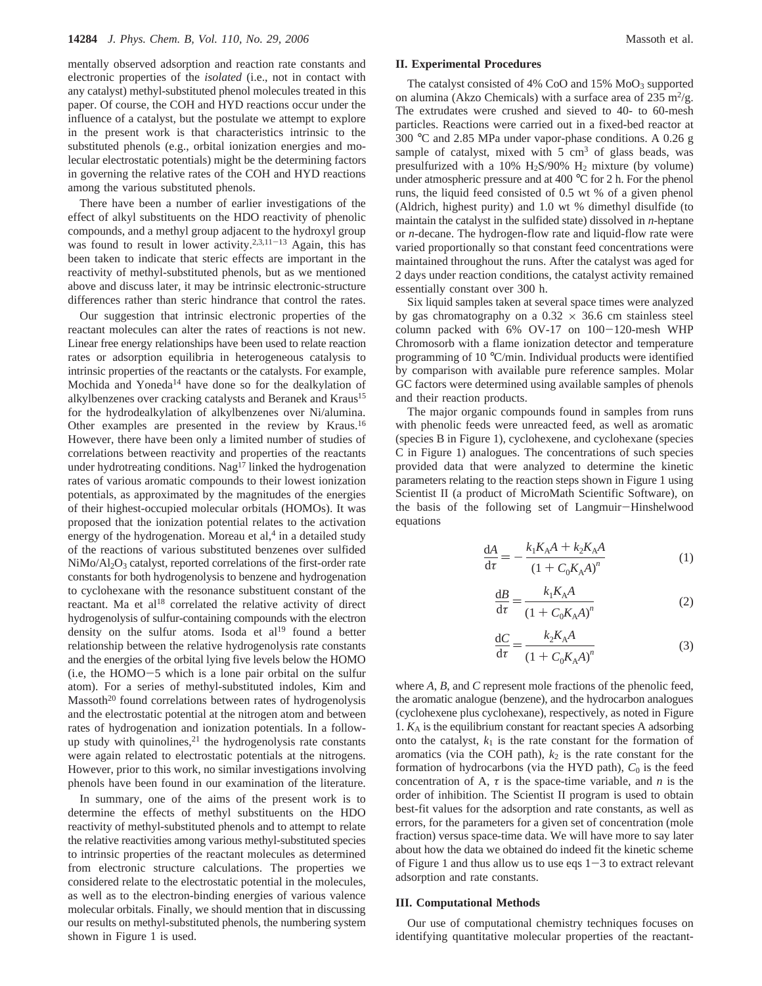mentally observed adsorption and reaction rate constants and electronic properties of the *isolated* (i.e., not in contact with any catalyst) methyl-substituted phenol molecules treated in this paper. Of course, the COH and HYD reactions occur under the influence of a catalyst, but the postulate we attempt to explore in the present work is that characteristics intrinsic to the substituted phenols (e.g., orbital ionization energies and molecular electrostatic potentials) might be the determining factors in governing the relative rates of the COH and HYD reactions among the various substituted phenols.

There have been a number of earlier investigations of the effect of alkyl substituents on the HDO reactivity of phenolic compounds, and a methyl group adjacent to the hydroxyl group was found to result in lower activity.<sup>2,3,11-13</sup> Again, this has been taken to indicate that steric effects are important in the reactivity of methyl-substituted phenols, but as we mentioned above and discuss later, it may be intrinsic electronic-structure differences rather than steric hindrance that control the rates.

Our suggestion that intrinsic electronic properties of the reactant molecules can alter the rates of reactions is not new. Linear free energy relationships have been used to relate reaction rates or adsorption equilibria in heterogeneous catalysis to intrinsic properties of the reactants or the catalysts. For example, Mochida and Yoneda<sup>14</sup> have done so for the dealkylation of alkylbenzenes over cracking catalysts and Beranek and Kraus<sup>15</sup> for the hydrodealkylation of alkylbenzenes over Ni/alumina. Other examples are presented in the review by Kraus.16 However, there have been only a limited number of studies of correlations between reactivity and properties of the reactants under hydrotreating conditions. Nag<sup>17</sup> linked the hydrogenation rates of various aromatic compounds to their lowest ionization potentials, as approximated by the magnitudes of the energies of their highest-occupied molecular orbitals (HOMOs). It was proposed that the ionization potential relates to the activation energy of the hydrogenation. Moreau et al,<sup>4</sup> in a detailed study of the reactions of various substituted benzenes over sulfided NiMo/Al<sub>2</sub>O<sub>3</sub> catalyst, reported correlations of the first-order rate constants for both hydrogenolysis to benzene and hydrogenation to cyclohexane with the resonance substituent constant of the reactant. Ma et al<sup>18</sup> correlated the relative activity of direct hydrogenolysis of sulfur-containing compounds with the electron density on the sulfur atoms. Isoda et  $al<sup>19</sup>$  found a better relationship between the relative hydrogenolysis rate constants and the energies of the orbital lying five levels below the HOMO (i.e, the HOMO-5 which is a lone pair orbital on the sulfur atom). For a series of methyl-substituted indoles, Kim and Massoth<sup>20</sup> found correlations between rates of hydrogenolysis and the electrostatic potential at the nitrogen atom and between rates of hydrogenation and ionization potentials. In a followup study with quinolines,<sup>21</sup> the hydrogenolysis rate constants were again related to electrostatic potentials at the nitrogens. However, prior to this work, no similar investigations involving phenols have been found in our examination of the literature.

In summary, one of the aims of the present work is to determine the effects of methyl substituents on the HDO reactivity of methyl-substituted phenols and to attempt to relate the relative reactivities among various methyl-substituted species to intrinsic properties of the reactant molecules as determined from electronic structure calculations. The properties we considered relate to the electrostatic potential in the molecules, as well as to the electron-binding energies of various valence molecular orbitals. Finally, we should mention that in discussing our results on methyl-substituted phenols, the numbering system shown in Figure 1 is used.

### **II. Experimental Procedures**

The catalyst consisted of 4% CoO and 15% MoO<sub>3</sub> supported on alumina (Akzo Chemicals) with a surface area of  $235 \text{ m}^2/\text{g}$ . The extrudates were crushed and sieved to 40- to 60-mesh particles. Reactions were carried out in a fixed-bed reactor at 300 °C and 2.85 MPa under vapor-phase conditions. A 0.26 g sample of catalyst, mixed with  $5 \text{ cm}^3$  of glass beads, was presulfurized with a 10%  $H_2S/90% H_2$  mixture (by volume) under atmospheric pressure and at 400 °C for 2 h. For the phenol runs, the liquid feed consisted of 0.5 wt % of a given phenol (Aldrich, highest purity) and 1.0 wt % dimethyl disulfide (to maintain the catalyst in the sulfided state) dissolved in *n*-heptane or *n*-decane. The hydrogen-flow rate and liquid-flow rate were varied proportionally so that constant feed concentrations were maintained throughout the runs. After the catalyst was aged for 2 days under reaction conditions, the catalyst activity remained essentially constant over 300 h.

Six liquid samples taken at several space times were analyzed by gas chromatography on a  $0.32 \times 36.6$  cm stainless steel column packed with 6% OV-17 on 100-120-mesh WHP Chromosorb with a flame ionization detector and temperature programming of 10 °C/min. Individual products were identified by comparison with available pure reference samples. Molar GC factors were determined using available samples of phenols and their reaction products.

The major organic compounds found in samples from runs with phenolic feeds were unreacted feed, as well as aromatic (species B in Figure 1), cyclohexene, and cyclohexane (species C in Figure 1) analogues. The concentrations of such species provided data that were analyzed to determine the kinetic parameters relating to the reaction steps shown in Figure 1 using Scientist II (a product of MicroMath Scientific Software), on the basis of the following set of Langmuir-Hinshelwood equations

$$
\frac{dA}{d\tau} = -\frac{k_1 K_A A + k_2 K_A A}{(1 + C_0 K_A A)^n}
$$
(1)

$$
\frac{dB}{d\tau} = \frac{k_1 K_A A}{(1 + C_0 K_A A)^n}
$$
 (2)

$$
\frac{dC}{d\tau} = \frac{k_2 K_A A}{(1 + C_0 K_A A)^n}
$$
(3)

where *A*, *B*, and *C* represent mole fractions of the phenolic feed, the aromatic analogue (benzene), and the hydrocarbon analogues (cyclohexene plus cyclohexane), respectively, as noted in Figure 1.  $K_A$  is the equilibrium constant for reactant species A adsorbing onto the catalyst,  $k_1$  is the rate constant for the formation of aromatics (via the COH path),  $k_2$  is the rate constant for the formation of hydrocarbons (via the HYD path),  $C_0$  is the feed concentration of A,  $\tau$  is the space-time variable, and  $n$  is the order of inhibition. The Scientist II program is used to obtain best-fit values for the adsorption and rate constants, as well as errors, for the parameters for a given set of concentration (mole fraction) versus space-time data. We will have more to say later about how the data we obtained do indeed fit the kinetic scheme of Figure 1 and thus allow us to use eqs  $1-3$  to extract relevant adsorption and rate constants.

## **III. Computational Methods**

Our use of computational chemistry techniques focuses on identifying quantitative molecular properties of the reactant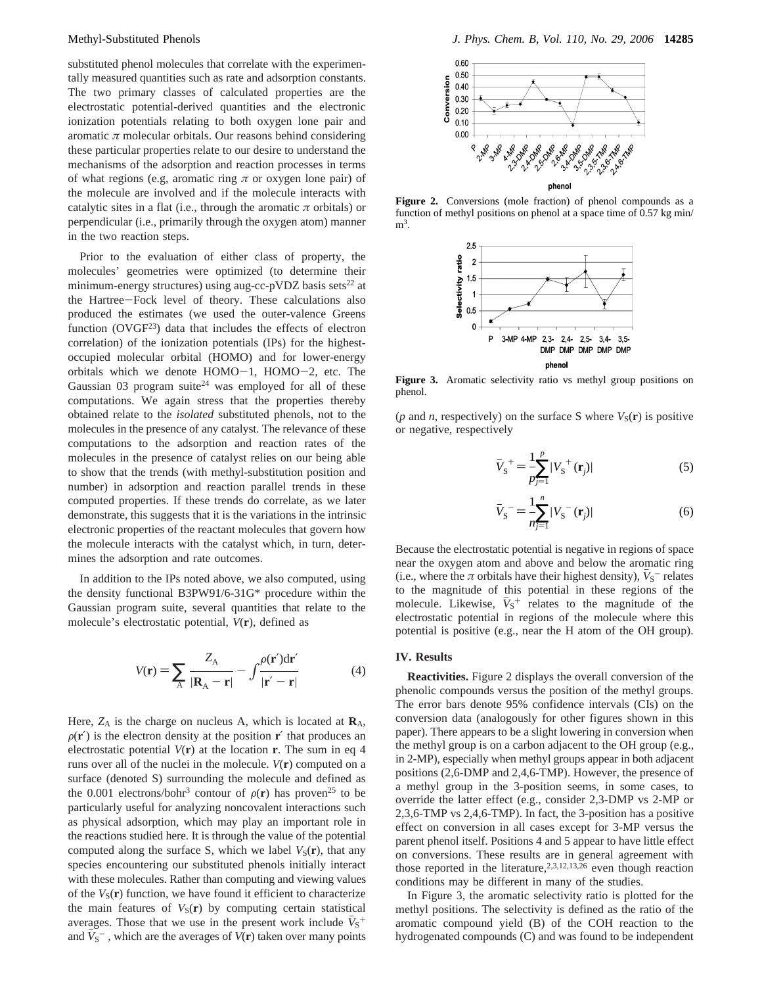substituted phenol molecules that correlate with the experimentally measured quantities such as rate and adsorption constants. The two primary classes of calculated properties are the electrostatic potential-derived quantities and the electronic ionization potentials relating to both oxygen lone pair and aromatic *π* molecular orbitals. Our reasons behind considering these particular properties relate to our desire to understand the mechanisms of the adsorption and reaction processes in terms of what regions (e.g, aromatic ring *π* or oxygen lone pair) of the molecule are involved and if the molecule interacts with catalytic sites in a flat (i.e., through the aromatic  $\pi$  orbitals) or perpendicular (i.e., primarily through the oxygen atom) manner in the two reaction steps.

Prior to the evaluation of either class of property, the molecules' geometries were optimized (to determine their minimum-energy structures) using aug-cc-pVDZ basis sets<sup>22</sup> at the Hartree-Fock level of theory. These calculations also produced the estimates (we used the outer-valence Greens function  $(OVGF<sup>23</sup>)$  data that includes the effects of electron correlation) of the ionization potentials (IPs) for the highestoccupied molecular orbital (HOMO) and for lower-energy orbitals which we denote HOMO-1, HOMO-2, etc. The Gaussian 03 program suite<sup>24</sup> was employed for all of these computations. We again stress that the properties thereby obtained relate to the *isolated* substituted phenols, not to the molecules in the presence of any catalyst. The relevance of these computations to the adsorption and reaction rates of the molecules in the presence of catalyst relies on our being able to show that the trends (with methyl-substitution position and number) in adsorption and reaction parallel trends in these computed properties. If these trends do correlate, as we later demonstrate, this suggests that it is the variations in the intrinsic electronic properties of the reactant molecules that govern how the molecule interacts with the catalyst which, in turn, determines the adsorption and rate outcomes.

In addition to the IPs noted above, we also computed, using the density functional B3PW91/6-31G\* procedure within the Gaussian program suite, several quantities that relate to the molecule's electrostatic potential, *V*(**r**), defined as

$$
V(\mathbf{r}) = \sum_{\mathbf{A}} \frac{Z_{\mathbf{A}}}{|\mathbf{R}_{\mathbf{A}} - \mathbf{r}|} - \int_{|\mathbf{r'} - \mathbf{r}|}^{\rho(\mathbf{r'})d\mathbf{r'}} \tag{4}
$$

Here,  $Z_A$  is the charge on nucleus A, which is located at  $\mathbf{R}_A$ ,  $\rho(\mathbf{r}')$  is the electron density at the position  $\mathbf{r}'$  that produces an electrostatic potential  $V(\mathbf{r})$  at the location **r**. The sum in eq 4 runs over all of the nuclei in the molecule. *V*(**r**) computed on a surface (denoted S) surrounding the molecule and defined as the 0.001 electrons/bohr<sup>3</sup> contour of  $\rho(\mathbf{r})$  has proven<sup>25</sup> to be particularly useful for analyzing noncovalent interactions such as physical adsorption, which may play an important role in the reactions studied here. It is through the value of the potential computed along the surface S, which we label  $V_S(\mathbf{r})$ , that any species encountering our substituted phenols initially interact with these molecules. Rather than computing and viewing values of the  $V_S(\mathbf{r})$  function, we have found it efficient to characterize the main features of  $V_S(\mathbf{r})$  by computing certain statistical averages. Those that we use in the present work include  $V_S^+$ <br>and  $\bar{V}_G^-$  which are the averages of  $V(\mathbf{r})$  taken over many points and  $V_s^-$ , which are the averages of  $V(\mathbf{r})$  taken over many points



**Figure 2.** Conversions (mole fraction) of phenol compounds as a function of methyl positions on phenol at a space time of 0.57 kg min/  $m^3$ .



**Figure 3.** Aromatic selectivity ratio vs methyl group positions on phenol.

(*p* and *n*, respectively) on the surface S where  $V_S(\mathbf{r})$  is positive or negative, respectively

$$
\bar{V}_{\rm S}^{\ \ +} = \frac{1}{p_{j=1}}^p |V_{\rm S}^{\ \ +}(\mathbf{r}_j)| \tag{5}
$$

$$
\bar{V}_{S}^{-} = \frac{1}{n} \sum_{j=1}^{n} |V_{S}^{-}(\mathbf{r}_{j})|
$$
 (6)

Because the electrostatic potential is negative in regions of space near the oxygen atom and above and below the aromatic ring (i.e., where the  $\pi$  orbitals have their highest density),  $V_s^-$  relates to the magnitude of this potential in these regions of the to the magnitude of this potential in these regions of the molecule. Likewise,  $V_s^+$  relates to the magnitude of the electrostatic potential in regions of the molecule where this electrostatic potential in regions of the molecule where this potential is positive (e.g., near the H atom of the OH group).

# **IV. Results**

**Reactivities.** Figure 2 displays the overall conversion of the phenolic compounds versus the position of the methyl groups. The error bars denote 95% confidence intervals (CIs) on the conversion data (analogously for other figures shown in this paper). There appears to be a slight lowering in conversion when the methyl group is on a carbon adjacent to the OH group (e.g., in 2-MP), especially when methyl groups appear in both adjacent positions (2,6-DMP and 2,4,6-TMP). However, the presence of a methyl group in the 3-position seems, in some cases, to override the latter effect (e.g., consider 2,3-DMP vs 2-MP or 2,3,6-TMP vs 2,4,6-TMP). In fact, the 3-position has a positive effect on conversion in all cases except for 3-MP versus the parent phenol itself. Positions 4 and 5 appear to have little effect on conversions. These results are in general agreement with those reported in the literature,  $2,3,12,13,26$  even though reaction conditions may be different in many of the studies.

In Figure 3, the aromatic selectivity ratio is plotted for the methyl positions. The selectivity is defined as the ratio of the aromatic compound yield (B) of the COH reaction to the hydrogenated compounds (C) and was found to be independent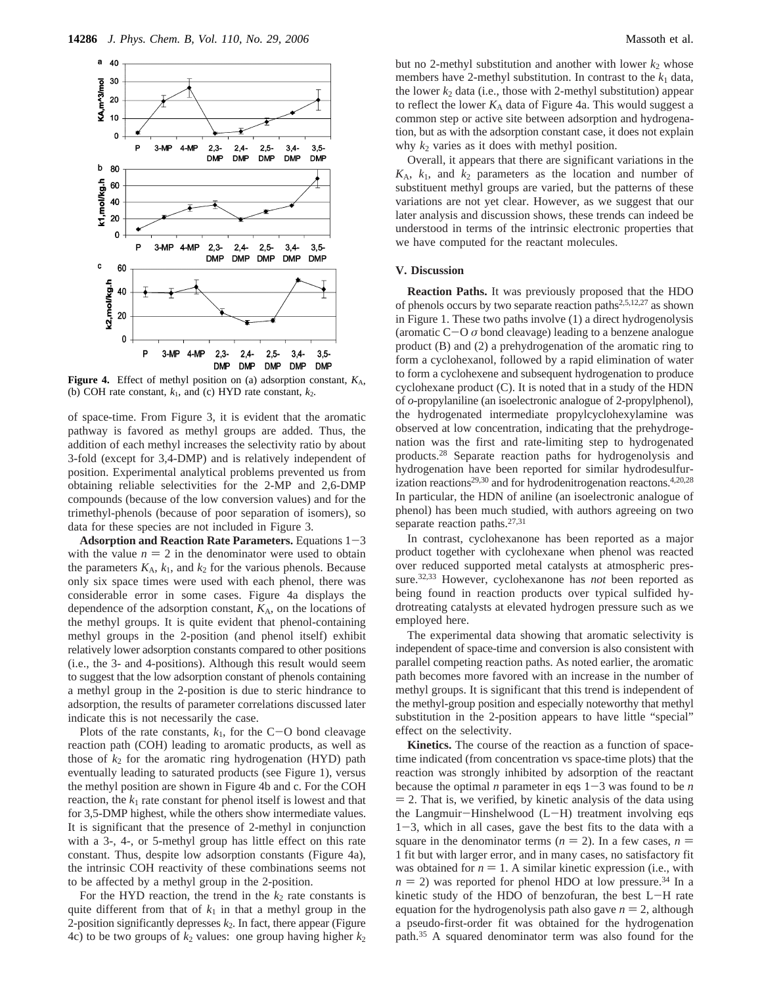

**Figure 4.** Effect of methyl position on (a) adsorption constant,  $K_A$ , (b) COH rate constant, *k*1, and (c) HYD rate constant, *k*2.

of space-time. From Figure 3, it is evident that the aromatic pathway is favored as methyl groups are added. Thus, the addition of each methyl increases the selectivity ratio by about 3-fold (except for 3,4-DMP) and is relatively independent of position. Experimental analytical problems prevented us from obtaining reliable selectivities for the 2-MP and 2,6-DMP compounds (because of the low conversion values) and for the trimethyl-phenols (because of poor separation of isomers), so data for these species are not included in Figure 3.

Adsorption and Reaction Rate Parameters. Equations  $1-3$ with the value  $n = 2$  in the denominator were used to obtain the parameters  $K_A$ ,  $k_1$ , and  $k_2$  for the various phenols. Because only six space times were used with each phenol, there was considerable error in some cases. Figure 4a displays the dependence of the adsorption constant,  $K_A$ , on the locations of the methyl groups. It is quite evident that phenol-containing methyl groups in the 2-position (and phenol itself) exhibit relatively lower adsorption constants compared to other positions (i.e., the 3- and 4-positions). Although this result would seem to suggest that the low adsorption constant of phenols containing a methyl group in the 2-position is due to steric hindrance to adsorption, the results of parameter correlations discussed later indicate this is not necessarily the case.

Plots of the rate constants,  $k_1$ , for the C-O bond cleavage reaction path (COH) leading to aromatic products, as well as those of  $k_2$  for the aromatic ring hydrogenation (HYD) path eventually leading to saturated products (see Figure 1), versus the methyl position are shown in Figure 4b and c. For the COH reaction, the  $k_1$  rate constant for phenol itself is lowest and that for 3,5-DMP highest, while the others show intermediate values. It is significant that the presence of 2-methyl in conjunction with a 3-, 4-, or 5-methyl group has little effect on this rate constant. Thus, despite low adsorption constants (Figure 4a), the intrinsic COH reactivity of these combinations seems not to be affected by a methyl group in the 2-position.

For the HYD reaction, the trend in the  $k_2$  rate constants is quite different from that of  $k_1$  in that a methyl group in the 2-position significantly depresses  $k_2$ . In fact, there appear (Figure 4c) to be two groups of  $k_2$  values: one group having higher  $k_2$  but no 2-methyl substitution and another with lower  $k_2$  whose members have 2-methyl substitution. In contrast to the  $k_1$  data, the lower  $k_2$  data (i.e., those with 2-methyl substitution) appear to reflect the lower  $K_A$  data of Figure 4a. This would suggest a common step or active site between adsorption and hydrogenation, but as with the adsorption constant case, it does not explain why  $k_2$  varies as it does with methyl position.

Overall, it appears that there are significant variations in the  $K_A$ ,  $k_1$ , and  $k_2$  parameters as the location and number of substituent methyl groups are varied, but the patterns of these variations are not yet clear. However, as we suggest that our later analysis and discussion shows, these trends can indeed be understood in terms of the intrinsic electronic properties that we have computed for the reactant molecules.

# **V. Discussion**

**Reaction Paths.** It was previously proposed that the HDO of phenols occurs by two separate reaction paths $2,5,12,27$  as shown in Figure 1. These two paths involve (1) a direct hydrogenolysis (aromatic  $C-O \sigma$  bond cleavage) leading to a benzene analogue product (B) and (2) a prehydrogenation of the aromatic ring to form a cyclohexanol, followed by a rapid elimination of water to form a cyclohexene and subsequent hydrogenation to produce cyclohexane product (C). It is noted that in a study of the HDN of *o*-propylaniline (an isoelectronic analogue of 2-propylphenol), the hydrogenated intermediate propylcyclohexylamine was observed at low concentration, indicating that the prehydrogenation was the first and rate-limiting step to hydrogenated products.28 Separate reaction paths for hydrogenolysis and hydrogenation have been reported for similar hydrodesulfurization reactions<sup>29,30</sup> and for hydrodenitrogenation reactons.<sup>4,20,28</sup> In particular, the HDN of aniline (an isoelectronic analogue of phenol) has been much studied, with authors agreeing on two separate reaction paths.<sup>27,31</sup>

In contrast, cyclohexanone has been reported as a major product together with cyclohexane when phenol was reacted over reduced supported metal catalysts at atmospheric pressure.32,33 However, cyclohexanone has *not* been reported as being found in reaction products over typical sulfided hydrotreating catalysts at elevated hydrogen pressure such as we employed here.

The experimental data showing that aromatic selectivity is independent of space-time and conversion is also consistent with parallel competing reaction paths. As noted earlier, the aromatic path becomes more favored with an increase in the number of methyl groups. It is significant that this trend is independent of the methyl-group position and especially noteworthy that methyl substitution in the 2-position appears to have little "special" effect on the selectivity.

**Kinetics.** The course of the reaction as a function of spacetime indicated (from concentration vs space-time plots) that the reaction was strongly inhibited by adsorption of the reactant because the optimal *n* parameter in eqs  $1-3$  was found to be *n*  $=$  2. That is, we verified, by kinetic analysis of the data using the Langmuir-Hinshelwood (L-H) treatment involving eqs  $1-3$ , which in all cases, gave the best fits to the data with a square in the denominator terms ( $n = 2$ ). In a few cases,  $n =$ 1 fit but with larger error, and in many cases, no satisfactory fit was obtained for  $n = 1$ . A similar kinetic expression (i.e., with  $n = 2$ ) was reported for phenol HDO at low pressure.<sup>34</sup> In a kinetic study of the HDO of benzofuran, the best L-H rate equation for the hydrogenolysis path also gave  $n = 2$ , although a pseudo-first-order fit was obtained for the hydrogenation path.35 A squared denominator term was also found for the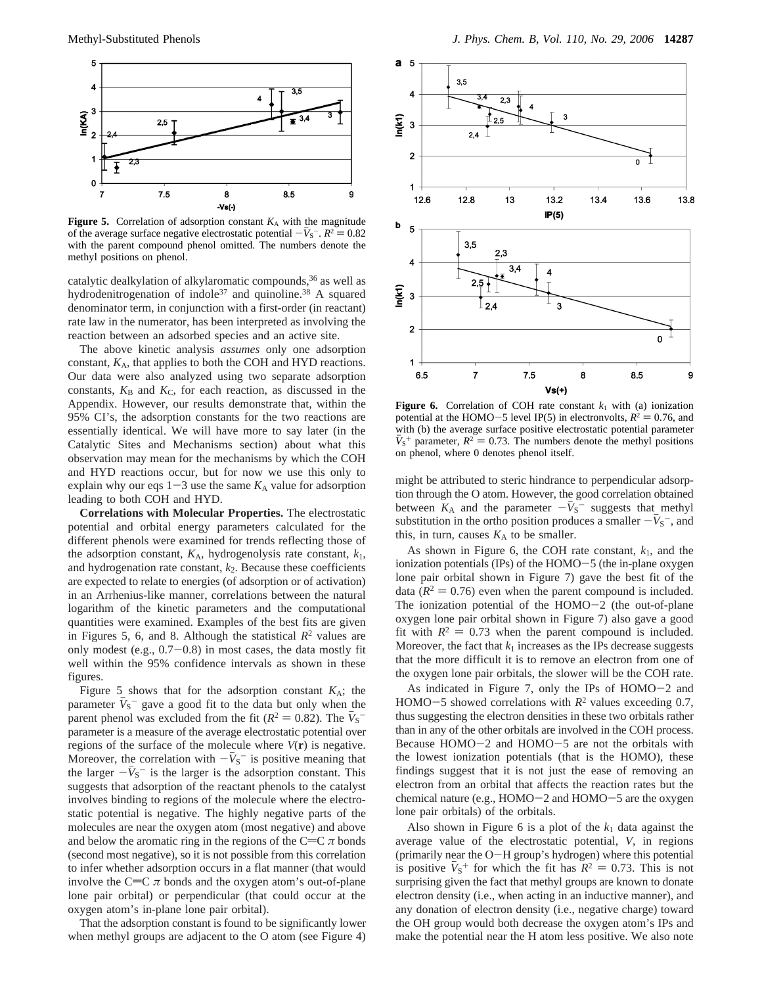

**Figure 5.** Correlation of adsorption constant  $K_A$  with the magnitude of the average surface negative electrostatic potential  $-\overline{V}_S$ <sup>-</sup>.  $R^2 = 0.82$ <br>with the parent compound phenol omitted. The numbers denote the with the parent compound phenol omitted. The numbers denote the methyl positions on phenol.

catalytic dealkylation of alkylaromatic compounds,<sup>36</sup> as well as hydrodenitrogenation of indole<sup>37</sup> and quinoline.<sup>38</sup> A squared denominator term, in conjunction with a first-order (in reactant) rate law in the numerator, has been interpreted as involving the reaction between an adsorbed species and an active site.

The above kinetic analysis *assumes* only one adsorption constant,  $K_A$ , that applies to both the COH and HYD reactions. Our data were also analyzed using two separate adsorption constants,  $K_B$  and  $K_C$ , for each reaction, as discussed in the Appendix. However, our results demonstrate that, within the 95% CI's, the adsorption constants for the two reactions are essentially identical. We will have more to say later (in the Catalytic Sites and Mechanisms section) about what this observation may mean for the mechanisms by which the COH and HYD reactions occur, but for now we use this only to explain why our eqs  $1-3$  use the same  $K_A$  value for adsorption leading to both COH and HYD.

**Correlations with Molecular Properties.** The electrostatic potential and orbital energy parameters calculated for the different phenols were examined for trends reflecting those of the adsorption constant, *K*A, hydrogenolysis rate constant, *k*1, and hydrogenation rate constant,  $k_2$ . Because these coefficients are expected to relate to energies (of adsorption or of activation) in an Arrhenius-like manner, correlations between the natural logarithm of the kinetic parameters and the computational quantities were examined. Examples of the best fits are given in Figures 5, 6, and 8. Although the statistical  $R^2$  values are only modest (e.g.,  $0.7-0.8$ ) in most cases, the data mostly fit well within the 95% confidence intervals as shown in these figures.

Figure 5 shows that for the adsorption constant *K*A; the parameter  $V_S^-$  gave a good fit to the data but only when the parent phenol was excluded from the fit  $(R^2 = 0.82)$ . The  $V_S^$ parent phenol was excluded from the fit  $(R^2 = 0.82)$ . The  $\bar{V}_S$ <sup>-</sup><br>parameter is a measure of the average electrostatic potential over parameter is a measure of the average electrostatic potential over regions of the surface of the molecule where  $V(\mathbf{r})$  is negative. Moreover, the correlation with  $-V_S$ <sup>-</sup> is positive meaning that the larger  $-\overline{V}_S$ <sup>-</sup> is the larger is the adsorption constant. This the larger  $-V<sub>S</sub><sup>-</sup>$  is the larger is the adsorption constant. This<br>suggests that adsorption of the reactant phenols to the catalyst suggests that adsorption of the reactant phenols to the catalyst involves binding to regions of the molecule where the electrostatic potential is negative. The highly negative parts of the molecules are near the oxygen atom (most negative) and above and below the aromatic ring in the regions of the  $C=C \pi$  bonds (second most negative), so it is not possible from this correlation to infer whether adsorption occurs in a flat manner (that would involve the C=C  $\pi$  bonds and the oxygen atom's out-of-plane lone pair orbital) or perpendicular (that could occur at the oxygen atom's in-plane lone pair orbital).

That the adsorption constant is found to be significantly lower when methyl groups are adjacent to the O atom (see Figure 4)



**Figure 6.** Correlation of COH rate constant  $k_1$  with (a) ionization potential at the HOMO-5 level IP(5) in electronvolts,  $R^2 = 0.76$ , and with (b) the average surface positive electrostatic potential parameter  $V_s^+$  parameter,  $R^2 = 0.73$ . The numbers denote the methyl positions on phenol, where 0 denotes phenol itself on phenol, where 0 denotes phenol itself.

might be attributed to steric hindrance to perpendicular adsorption through the O atom. However, the good correlation obtained between  $K_A$  and the parameter  $-V_S^-$  suggests that methyl<br>substitution in the ortho position produces a smaller  $-\bar{V}_C^-$  and substitution in the ortho position produces a smaller  $-V_s^-$ , and this in turn, causes  $K_s$  to be smaller this, in turn, causes  $K_A$  to be smaller.

As shown in Figure 6, the COH rate constant,  $k_1$ , and the ionization potentials (IPs) of the  $HOMO-5$  (the in-plane oxygen lone pair orbital shown in Figure 7) gave the best fit of the data  $(R^2 = 0.76)$  even when the parent compound is included. The ionization potential of the  $HOMO-2$  (the out-of-plane oxygen lone pair orbital shown in Figure 7) also gave a good fit with  $R^2 = 0.73$  when the parent compound is included. Moreover, the fact that  $k_1$  increases as the IPs decrease suggests that the more difficult it is to remove an electron from one of the oxygen lone pair orbitals, the slower will be the COH rate.

As indicated in Figure 7, only the IPs of HOMO-2 and HOMO $-5$  showed correlations with  $R^2$  values exceeding 0.7, thus suggesting the electron densities in these two orbitals rather than in any of the other orbitals are involved in the COH process. Because HOMO-2 and HOMO-5 are not the orbitals with the lowest ionization potentials (that is the HOMO), these findings suggest that it is not just the ease of removing an electron from an orbital that affects the reaction rates but the chemical nature (e.g.,  $HOMO-2$  and  $HOMO-5$  are the oxygen lone pair orbitals) of the orbitals.

Also shown in Figure 6 is a plot of the  $k_1$  data against the average value of the electrostatic potential, *V*, in regions (primarily near the O-H group's hydrogen) where this potential is positive  $\bar{V}_S^+$  for which the fit has  $R^2 = 0.73$ . This is not<br>surprising given the fact that methyl groups are known to donate surprising given the fact that methyl groups are known to donate electron density (i.e., when acting in an inductive manner), and any donation of electron density (i.e., negative charge) toward the OH group would both decrease the oxygen atom's IPs and make the potential near the H atom less positive. We also note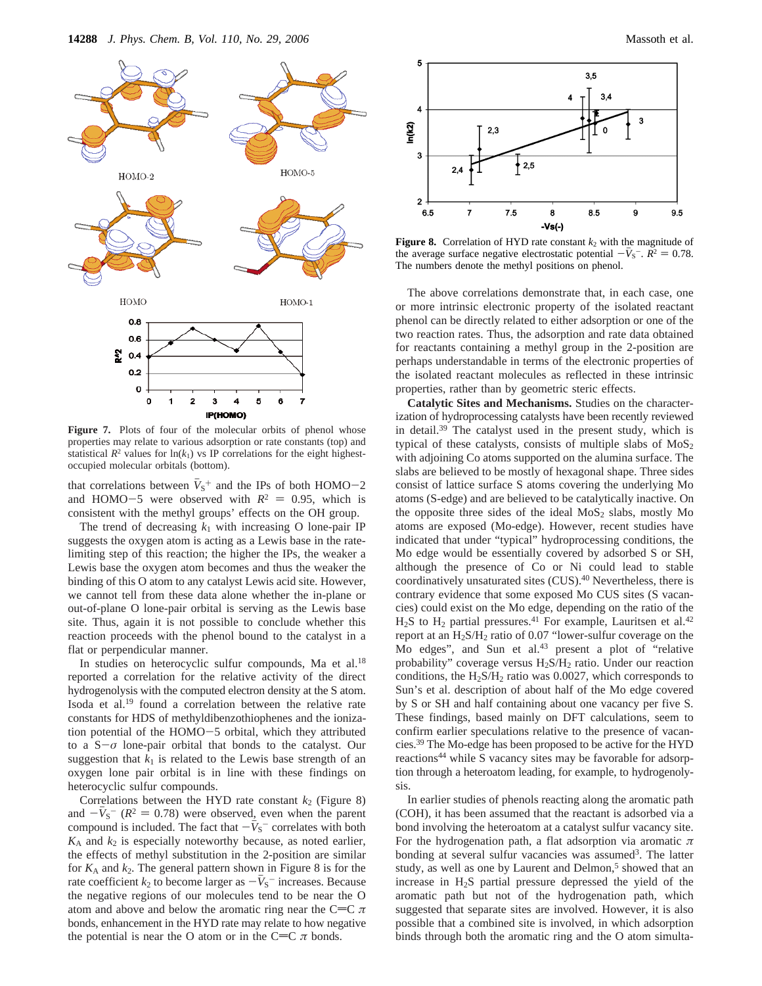

**Figure 7.** Plots of four of the molecular orbits of phenol whose properties may relate to various adsorption or rate constants (top) and statistical  $R^2$  values for  $ln(k_1)$  vs IP correlations for the eight highestoccupied molecular orbitals (bottom).

that correlations between  $V_s^+$  and the IPs of both HOMO-2<br>and HOMO-5 were observed with  $R^2 = 0.95$  which is and HOMO-5 were observed with  $R^2 = 0.95$ , which is consistent with the methyl groups' effects on the OH group.

The trend of decreasing  $k_1$  with increasing O lone-pair IP suggests the oxygen atom is acting as a Lewis base in the ratelimiting step of this reaction; the higher the IPs, the weaker a Lewis base the oxygen atom becomes and thus the weaker the binding of this O atom to any catalyst Lewis acid site. However, we cannot tell from these data alone whether the in-plane or out-of-plane O lone-pair orbital is serving as the Lewis base site. Thus, again it is not possible to conclude whether this reaction proceeds with the phenol bound to the catalyst in a flat or perpendicular manner.

In studies on heterocyclic sulfur compounds, Ma et al.<sup>18</sup> reported a correlation for the relative activity of the direct hydrogenolysis with the computed electron density at the S atom. Isoda et al.19 found a correlation between the relative rate constants for HDS of methyldibenzothiophenes and the ionization potential of the HOMO-5 orbital, which they attributed to a S-*<sup>σ</sup>* lone-pair orbital that bonds to the catalyst. Our suggestion that  $k_1$  is related to the Lewis base strength of an oxygen lone pair orbital is in line with these findings on heterocyclic sulfur compounds.

Correlations between the HYD rate constant  $k_2$  (Figure 8) and  $-\overline{V}_S$ <sup>-</sup> ( $R^2$  = 0.78) were observed, even when the parent<br>compound is included. The fact that  $-\overline{V}_S$ <sup>-</sup> correlates with both compound is included. The fact that  $-V_S^-$  correlates with both  $K_A$  and  $k_A$  is especially noteworthy because as noted earlier  $K_A$  and  $k_2$  is especially noteworthy because, as noted earlier, the effects of methyl substitution in the 2-position are similar for  $K_A$  and  $k_2$ . The general pattern shown in Figure 8 is for the rate coefficient  $k_2$  to become larger as  $-V_s$ <sup>-</sup> increases. Because<br>the negative regions of our molecules tend to be near the O the negative regions of our molecules tend to be near the O atom and above and below the aromatic ring near the C=C  $\pi$ bonds, enhancement in the HYD rate may relate to how negative the potential is near the O atom or in the  $C=C \pi$  bonds.



**Figure 8.** Correlation of HYD rate constant  $k_2$  with the magnitude of the average surface negative electrostatic potential  $-V_s^-$ .  $R^2 = 0.78$ .<br>The numbers denote the methyl positions on phenol The numbers denote the methyl positions on phenol.

The above correlations demonstrate that, in each case, one or more intrinsic electronic property of the isolated reactant phenol can be directly related to either adsorption or one of the two reaction rates. Thus, the adsorption and rate data obtained for reactants containing a methyl group in the 2-position are perhaps understandable in terms of the electronic properties of the isolated reactant molecules as reflected in these intrinsic properties, rather than by geometric steric effects.

**Catalytic Sites and Mechanisms.** Studies on the characterization of hydroprocessing catalysts have been recently reviewed in detail.39 The catalyst used in the present study, which is typical of these catalysts, consists of multiple slabs of  $MoS<sub>2</sub>$ with adjoining Co atoms supported on the alumina surface. The slabs are believed to be mostly of hexagonal shape. Three sides consist of lattice surface S atoms covering the underlying Mo atoms (S-edge) and are believed to be catalytically inactive. On the opposite three sides of the ideal  $MoS<sub>2</sub>$  slabs, mostly Mo atoms are exposed (Mo-edge). However, recent studies have indicated that under "typical" hydroprocessing conditions, the Mo edge would be essentially covered by adsorbed S or SH, although the presence of Co or Ni could lead to stable coordinatively unsaturated sites (CUS).<sup>40</sup> Nevertheless, there is contrary evidence that some exposed Mo CUS sites (S vacancies) could exist on the Mo edge, depending on the ratio of the  $H<sub>2</sub>S$  to  $H<sub>2</sub>$  partial pressures.<sup>41</sup> For example, Lauritsen et al.<sup>42</sup> report at an H2S/H2 ratio of 0.07 "lower-sulfur coverage on the Mo edges", and Sun et al.<sup>43</sup> present a plot of "relative probability" coverage versus H2S/H2 ratio. Under our reaction conditions, the  $H_2S/H_2$  ratio was 0.0027, which corresponds to Sun's et al. description of about half of the Mo edge covered by S or SH and half containing about one vacancy per five S. These findings, based mainly on DFT calculations, seem to confirm earlier speculations relative to the presence of vacancies.39 The Mo-edge has been proposed to be active for the HYD reactions<sup>44</sup> while S vacancy sites may be favorable for adsorption through a heteroatom leading, for example, to hydrogenolysis.

In earlier studies of phenols reacting along the aromatic path (COH), it has been assumed that the reactant is adsorbed via a bond involving the heteroatom at a catalyst sulfur vacancy site. For the hydrogenation path, a flat adsorption via aromatic  $\pi$ bonding at several sulfur vacancies was assumed<sup>3</sup>. The latter study, as well as one by Laurent and Delmon,<sup>5</sup> showed that an increase in H2S partial pressure depressed the yield of the aromatic path but not of the hydrogenation path, which suggested that separate sites are involved. However, it is also possible that a combined site is involved, in which adsorption binds through both the aromatic ring and the O atom simulta-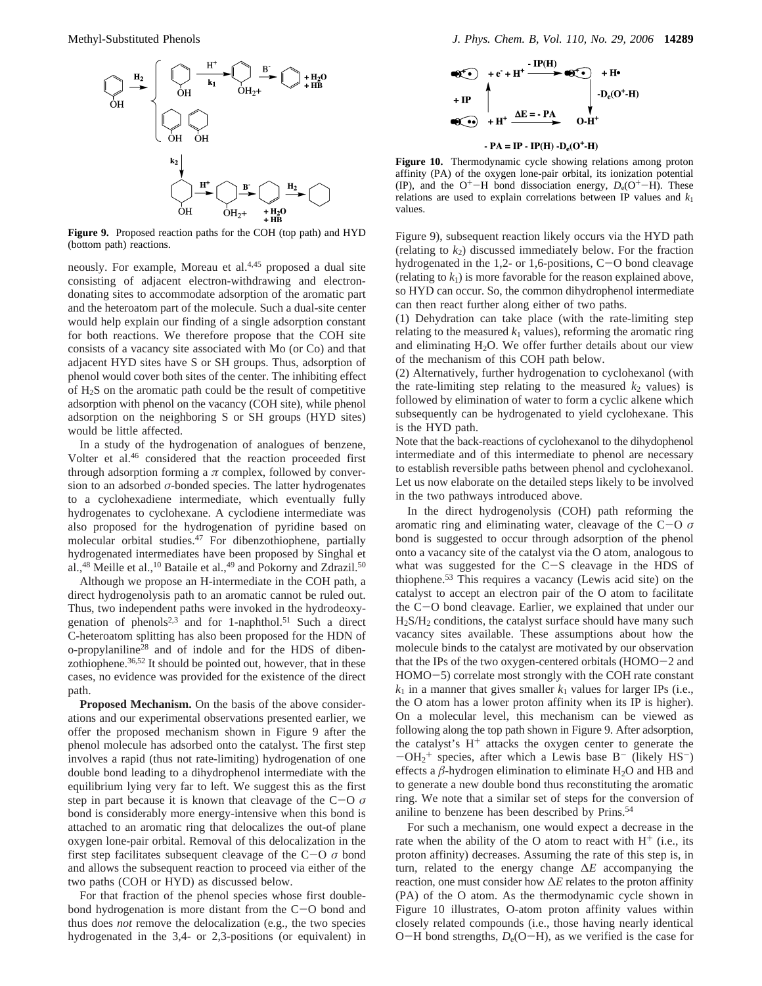

**Figure 9.** Proposed reaction paths for the COH (top path) and HYD (bottom path) reactions.

neously. For example, Moreau et al.4,45 proposed a dual site consisting of adjacent electron-withdrawing and electrondonating sites to accommodate adsorption of the aromatic part and the heteroatom part of the molecule. Such a dual-site center would help explain our finding of a single adsorption constant for both reactions. We therefore propose that the COH site consists of a vacancy site associated with Mo (or Co) and that adjacent HYD sites have S or SH groups. Thus, adsorption of phenol would cover both sites of the center. The inhibiting effect of H2S on the aromatic path could be the result of competitive adsorption with phenol on the vacancy (COH site), while phenol adsorption on the neighboring S or SH groups (HYD sites) would be little affected.

In a study of the hydrogenation of analogues of benzene, Volter et al.46 considered that the reaction proceeded first through adsorption forming a  $\pi$  complex, followed by conversion to an adsorbed *σ*-bonded species. The latter hydrogenates to a cyclohexadiene intermediate, which eventually fully hydrogenates to cyclohexane. A cyclodiene intermediate was also proposed for the hydrogenation of pyridine based on molecular orbital studies.47 For dibenzothiophene, partially hydrogenated intermediates have been proposed by Singhal et al.,48 Meille et al.,10 Bataile et al.,49 and Pokorny and Zdrazil.50

Although we propose an H-intermediate in the COH path, a direct hydrogenolysis path to an aromatic cannot be ruled out. Thus, two independent paths were invoked in the hydrodeoxygenation of phenols<sup>2,3</sup> and for 1-naphthol.<sup>51</sup> Such a direct C-heteroatom splitting has also been proposed for the HDN of  $o$ -propylaniline<sup>28</sup> and of indole and for the HDS of dibenzothiophene.<sup>36,52</sup> It should be pointed out, however, that in these cases, no evidence was provided for the existence of the direct path.

**Proposed Mechanism.** On the basis of the above considerations and our experimental observations presented earlier, we offer the proposed mechanism shown in Figure 9 after the phenol molecule has adsorbed onto the catalyst. The first step involves a rapid (thus not rate-limiting) hydrogenation of one double bond leading to a dihydrophenol intermediate with the equilibrium lying very far to left. We suggest this as the first step in part because it is known that cleavage of the  $C-O$   $\sigma$ bond is considerably more energy-intensive when this bond is attached to an aromatic ring that delocalizes the out-of plane oxygen lone-pair orbital. Removal of this delocalization in the first step facilitates subsequent cleavage of the C-<sup>O</sup> *<sup>σ</sup>* bond and allows the subsequent reaction to proceed via either of the two paths (COH or HYD) as discussed below.

For that fraction of the phenol species whose first doublebond hydrogenation is more distant from the C-O bond and thus does *not* remove the delocalization (e.g., the two species hydrogenated in the 3,4- or 2,3-positions (or equivalent) in



- PA = IP - IP(H) - $D_e(O^+$ -H)

**Figure 10.** Thermodynamic cycle showing relations among proton affinity (PA) of the oxygen lone-pair orbital, its ionization potential (IP), and the  $O^+$ -H bond dissociation energy,  $D_e(O^+$ -H). These relations are used to explain correlations between IP values and *k*<sup>1</sup> values.

Figure 9), subsequent reaction likely occurs via the HYD path (relating to  $k_2$ ) discussed immediately below. For the fraction hydrogenated in the 1,2- or 1,6-positions, C-O bond cleavage (relating to  $k_1$ ) is more favorable for the reason explained above, so HYD can occur. So, the common dihydrophenol intermediate can then react further along either of two paths.

(1) Dehydration can take place (with the rate-limiting step relating to the measured  $k_1$  values), reforming the aromatic ring and eliminating  $H_2O$ . We offer further details about our view of the mechanism of this COH path below.

(2) Alternatively, further hydrogenation to cyclohexanol (with the rate-limiting step relating to the measured  $k_2$  values) is followed by elimination of water to form a cyclic alkene which subsequently can be hydrogenated to yield cyclohexane. This is the HYD path.

Note that the back-reactions of cyclohexanol to the dihydophenol intermediate and of this intermediate to phenol are necessary to establish reversible paths between phenol and cyclohexanol. Let us now elaborate on the detailed steps likely to be involved in the two pathways introduced above.

In the direct hydrogenolysis (COH) path reforming the aromatic ring and eliminating water, cleavage of the C-<sup>O</sup> *<sup>σ</sup>* bond is suggested to occur through adsorption of the phenol onto a vacancy site of the catalyst via the O atom, analogous to what was suggested for the C-S cleavage in the HDS of thiophene.53 This requires a vacancy (Lewis acid site) on the catalyst to accept an electron pair of the O atom to facilitate the C-O bond cleavage. Earlier, we explained that under our H2S/H2 conditions, the catalyst surface should have many such vacancy sites available. These assumptions about how the molecule binds to the catalyst are motivated by our observation that the IPs of the two oxygen-centered orbitals (HOMO-2 and HOMO-5) correlate most strongly with the COH rate constant  $k_1$  in a manner that gives smaller  $k_1$  values for larger IPs (i.e., the O atom has a lower proton affinity when its IP is higher). On a molecular level, this mechanism can be viewed as following along the top path shown in Figure 9. After adsorption, the catalyst's  $H<sup>+</sup>$  attacks the oxygen center to generate the  $-\text{OH}_2^+$  species, after which a Lewis base B<sup>-</sup> (likely HS<sup>-</sup>)<br>effects a *B*-hydrogen elimination to eliminate H<sub>2</sub>O and HB and effects a  $\beta$ -hydrogen elimination to eliminate H<sub>2</sub>O and HB and to generate a new double bond thus reconstituting the aromatic ring. We note that a similar set of steps for the conversion of aniline to benzene has been described by Prins.<sup>54</sup>

For such a mechanism, one would expect a decrease in the rate when the ability of the O atom to react with  $H^+$  (i.e., its proton affinity) decreases. Assuming the rate of this step is, in turn, related to the energy change ∆*E* accompanying the reaction, one must consider how ∆*E* relates to the proton affinity (PA) of the O atom. As the thermodynamic cycle shown in Figure 10 illustrates, O-atom proton affinity values within closely related compounds (i.e., those having nearly identical O-H bond strengths,  $D_e$ (O-H), as we verified is the case for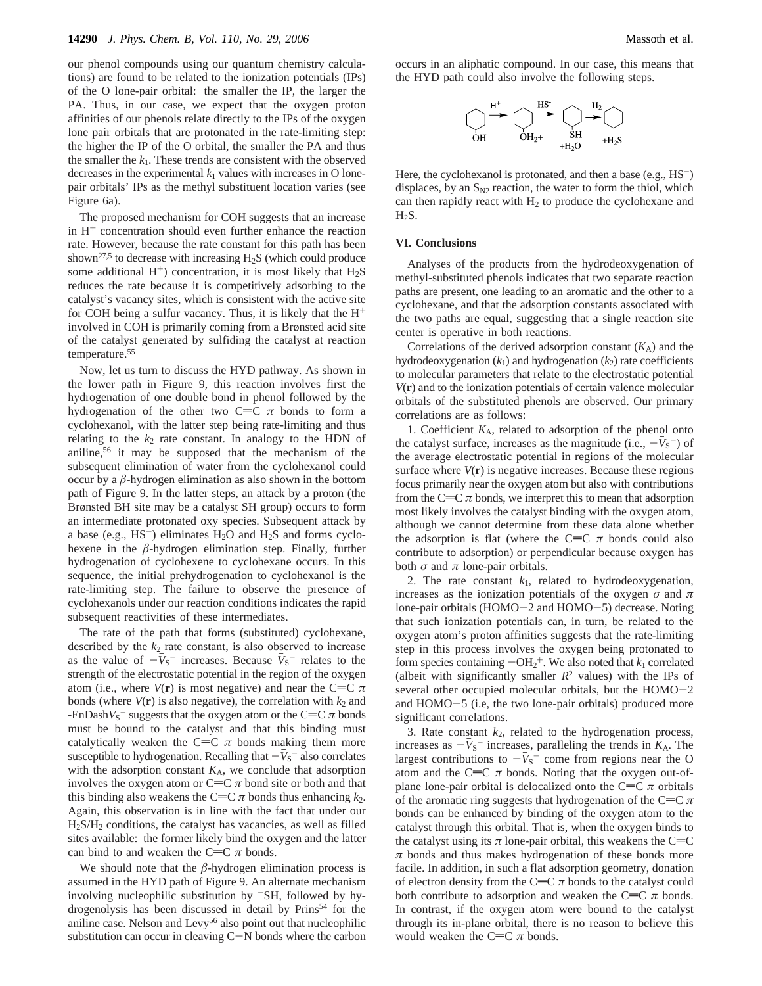our phenol compounds using our quantum chemistry calculations) are found to be related to the ionization potentials (IPs) of the O lone-pair orbital: the smaller the IP, the larger the PA. Thus, in our case, we expect that the oxygen proton affinities of our phenols relate directly to the IPs of the oxygen lone pair orbitals that are protonated in the rate-limiting step: the higher the IP of the O orbital, the smaller the PA and thus the smaller the  $k_1$ . These trends are consistent with the observed decreases in the experimental  $k_1$  values with increases in O lonepair orbitals' IPs as the methyl substituent location varies (see Figure 6a).

The proposed mechanism for COH suggests that an increase in  $H<sup>+</sup>$  concentration should even further enhance the reaction rate. However, because the rate constant for this path has been shown<sup>27,5</sup> to decrease with increasing  $H_2S$  (which could produce some additional  $H^+$ ) concentration, it is most likely that  $H_2S$ reduces the rate because it is competitively adsorbing to the catalyst's vacancy sites, which is consistent with the active site for COH being a sulfur vacancy. Thus, it is likely that the  $H^+$ involved in COH is primarily coming from a Brønsted acid site of the catalyst generated by sulfiding the catalyst at reaction temperature.<sup>55</sup>

Now, let us turn to discuss the HYD pathway. As shown in the lower path in Figure 9, this reaction involves first the hydrogenation of one double bond in phenol followed by the hydrogenation of the other two C=C  $\pi$  bonds to form a cyclohexanol, with the latter step being rate-limiting and thus relating to the  $k_2$  rate constant. In analogy to the HDN of aniline,56 it may be supposed that the mechanism of the subsequent elimination of water from the cyclohexanol could occur by a  $\beta$ -hydrogen elimination as also shown in the bottom path of Figure 9. In the latter steps, an attack by a proton (the Brønsted BH site may be a catalyst SH group) occurs to form an intermediate protonated oxy species. Subsequent attack by a base (e.g.,  $HS^-$ ) eliminates  $H_2O$  and  $H_2S$  and forms cyclohexene in the *â*-hydrogen elimination step. Finally, further hydrogenation of cyclohexene to cyclohexane occurs. In this sequence, the initial prehydrogenation to cyclohexanol is the rate-limiting step. The failure to observe the presence of cyclohexanols under our reaction conditions indicates the rapid subsequent reactivities of these intermediates.

The rate of the path that forms (substituted) cyclohexane, described by the  $k_2$  rate constant, is also observed to increase as the value of  $-V_S^-$  increases. Because  $V_S^-$  relates to the strength of the electrostatic potential in the region of the oxygen strength of the electrostatic potential in the region of the oxygen atom (i.e., where  $V(\mathbf{r})$  is most negative) and near the C=C  $\pi$ bonds (where  $V(\mathbf{r})$  is also negative), the correlation with  $k_2$  and  $-$ EnDash $V_S$ <sup>-</sup> suggests that the oxygen atom or the C=C  $\pi$  bonds must be bound to the catalyst and that this binding must catalytically weaken the C=C  $\pi$  bonds making them more susceptible to hydrogenation. Recalling that  $-V<sub>S</sub>$ <sup>-</sup> also correlates with the adsorption constant  $K<sub>S</sub>$ , we conclude that adsorption with the adsorption constant  $K_A$ , we conclude that adsorption involves the oxygen atom or  $C=C \pi$  bond site or both and that this binding also weakens the C=C  $\pi$  bonds thus enhancing  $k_2$ . Again, this observation is in line with the fact that under our H2S/H2 conditions, the catalyst has vacancies, as well as filled sites available: the former likely bind the oxygen and the latter can bind to and weaken the C=C  $\pi$  bonds.

We should note that the  $\beta$ -hydrogen elimination process is assumed in the HYD path of Figure 9. An alternate mechanism involving nucleophilic substitution by  $\overline{\phantom{a}}$  SH, followed by hydrogenolysis has been discussed in detail by Prins<sup>54</sup> for the aniline case. Nelson and Levy<sup>56</sup> also point out that nucleophilic substitution can occur in cleaving  $C-N$  bonds where the carbon

occurs in an aliphatic compound. In our case, this means that the HYD path could also involve the following steps.

$$
\bigcirc_{OH}^{H^{\star}} \overbrace{\bigcirc_{OH_{2^{+}}}}^{HS^{\star}} \underbrace{\bigcirc_{SH}}_{\star H_{2}O}^{H_{2}} \overbrace{\phantom{\vdots}}^{H_{2}}_{\star H_{2}S}
$$

Here, the cyclohexanol is protonated, and then a base (e.g.,  $\rm HS^{-}$ ) displaces, by an  $S_{N2}$  reaction, the water to form the thiol, which can then rapidly react with  $H_2$  to produce the cyclohexane and  $H<sub>2</sub>S$ .

### **VI. Conclusions**

Analyses of the products from the hydrodeoxygenation of methyl-substituted phenols indicates that two separate reaction paths are present, one leading to an aromatic and the other to a cyclohexane, and that the adsorption constants associated with the two paths are equal, suggesting that a single reaction site center is operative in both reactions.

Correlations of the derived adsorption constant  $(K_A)$  and the hydrodeoxygenation  $(k_1)$  and hydrogenation  $(k_2)$  rate coefficients to molecular parameters that relate to the electrostatic potential *V*(**r**) and to the ionization potentials of certain valence molecular orbitals of the substituted phenols are observed. Our primary correlations are as follows:

1. Coefficient  $K_A$ , related to adsorption of the phenol onto the catalyst surface, increases as the magnitude  $(i.e., -V<sub>S</sub><sup>-</sup>)$  of<br>the average electrostatic potential in regions of the molecular the average electrostatic potential in regions of the molecular surface where  $V(\mathbf{r})$  is negative increases. Because these regions focus primarily near the oxygen atom but also with contributions from the C=C  $\pi$  bonds, we interpret this to mean that adsorption most likely involves the catalyst binding with the oxygen atom, although we cannot determine from these data alone whether the adsorption is flat (where the C=C  $\pi$  bonds could also contribute to adsorption) or perpendicular because oxygen has both  $\sigma$  and  $\pi$  lone-pair orbitals.

2. The rate constant  $k_1$ , related to hydrodeoxygenation, increases as the ionization potentials of the oxygen  $\sigma$  and  $\pi$ lone-pair orbitals (HOMO-2 and HOMO-5) decrease. Noting that such ionization potentials can, in turn, be related to the oxygen atom's proton affinities suggests that the rate-limiting step in this process involves the oxygen being protonated to form species containing  $-OH_2^+$ . We also noted that  $k_1$  correlated (albeit with significantly smaller  $R^2$  values) with the IPs of (albeit with significantly smaller  $R^2$  values) with the IPs of several other occupied molecular orbitals, but the HOMO-<sup>2</sup> and HOMO-5 (i.e, the two lone-pair orbitals) produced more significant correlations.

3. Rate constant *k*2, related to the hydrogenation process, increases as  $-V_s^-$  increases, paralleling the trends in  $K_A$ . The largest contributions to  $-\bar{V}_s^-$  come from regions near the O largest contributions to  $-V_S^-$  come from regions near the O<br>atom and the C=C  $\pi$  bonds. Noting that the oxygen out-ofatom and the C=C  $\pi$  bonds. Noting that the oxygen out-ofplane lone-pair orbital is delocalized onto the C=C  $\pi$  orbitals of the aromatic ring suggests that hydrogenation of the C=C  $\pi$ bonds can be enhanced by binding of the oxygen atom to the catalyst through this orbital. That is, when the oxygen binds to the catalyst using its  $\pi$  lone-pair orbital, this weakens the C=C *π* bonds and thus makes hydrogenation of these bonds more facile. In addition, in such a flat adsorption geometry, donation of electron density from the  $C=C \pi$  bonds to the catalyst could both contribute to adsorption and weaken the C=C  $\pi$  bonds. In contrast, if the oxygen atom were bound to the catalyst through its in-plane orbital, there is no reason to believe this would weaken the C=C  $\pi$  bonds.